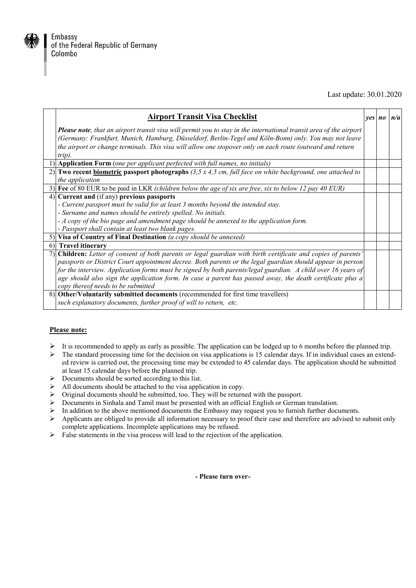

## Last update: 30.01.2020

| <b>Airport Transit Visa Checklist</b>                                                                                                                                       | $ves$ $no$ $n/a$ |  |
|-----------------------------------------------------------------------------------------------------------------------------------------------------------------------------|------------------|--|
| <b>Please note</b> , that an airport transit visa will permit you to stay in the international transit area of the airport                                                  |                  |  |
| (Germany: Frankfurt, Munich, Hamburg, Düsseldorf, Berlin-Tegel and Köln-Bonn) only. You may not leave                                                                       |                  |  |
| the airport or change terminals. This visa will allow one stopover only on each route (outward and return<br>$trip)$ .                                                      |                  |  |
| 1) Application Form (one per applicant perfected with full names, no initials)                                                                                              |                  |  |
| 2) Two recent <b>biometric</b> passport photographs $(3,5 \times 4,5 \text{ cm}, \text{full face on white background}, \text{one attached to } \text{m}$<br>the application |                  |  |
| 3) Fee of 80 EUR to be paid in LKR (children below the age of six are free, six to below 12 pay 40 EUR)                                                                     |                  |  |
| 4) Current and (if any) previous passports                                                                                                                                  |                  |  |
| - Current passport must be valid for at least 3 months beyond the intended stay.                                                                                            |                  |  |
| - Surname and names should be entirely spelled. No initials.                                                                                                                |                  |  |
| - A copy of the bio page and amendment page should be annexed to the application form.                                                                                      |                  |  |
| - Passport shall contain at least two blank pages.                                                                                                                          |                  |  |
| 5) Visa of Country of Final Destination (a copy should be annexed)                                                                                                          |                  |  |
| 6) Travel itinerary                                                                                                                                                         |                  |  |
| Children: Letter of consent of both parents or legal guardian with birth certificate and copies of parents'                                                                 |                  |  |
| passports or District Court appointment decree. Both parents or the legal guardian should appear in person                                                                  |                  |  |
| for the interview. Application forms must be signed by both parents/legal guardian. A child over 16 years of                                                                |                  |  |
| age should also sign the application form. In case a parent has passed away, the death certificate plus a<br>copy thereof needs to be submitted                             |                  |  |
| 8) Other/Voluntarily submitted documents (recommended for first time travellers)                                                                                            |                  |  |
| such explanatory documents, further proof of will to return, etc.                                                                                                           |                  |  |

## **Please note:**

- $\triangleright$  It is recommended to apply as early as possible. The application can be lodged up to 6 months before the planned trip.
- $\triangleright$  The standard processing time for the decision on visa applications is 15 calendar days. If in individual cases an extended review is carried out, the processing time may be extended to 45 calendar days. The application should be submitted at least 15 calendar days before the planned trip.
- $\triangleright$  Documents should be sorted according to this list.
- $\triangleright$  All documents should be attached to the visa application in copy.
- $\triangleright$  Original documents should be submitted, too. They will be returned with the passport.
- Documents in Sinhala and Tamil must be presented with an official English or German translation.
- In addition to the above mentioned documents the Embassy may request you to furnish further documents.<br>  $\triangleright$  Applicants are obliged to provide all information necessary to proof their case and therefore are advised to
- Applicants are obliged to provide all information necessary to proof their case and therefore are advised to submit only complete applications. Incomplete applications may be refused.
- $\triangleright$  False statements in the visa process will lead to the rejection of the application.

**- Please turn over-**